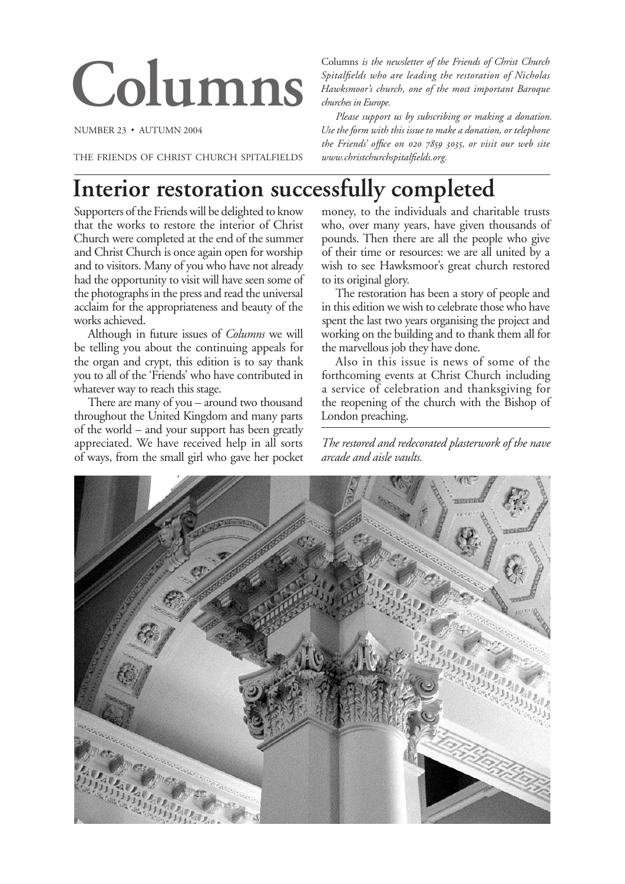# **Columns**

NUMBER 23 • AUTUMN 2004

THE FRIENDS OF CHRIST CHURCH SPITALFIELDS

Columns *is the newsletter of the Friends of Christ Church Spitalfields who are leading the restoration of Nicholas Hawksmoor's church, one of the most important Baroque churches in Europe.*

*Please support us by subscribing or making a donation. Use the form with this issue to make a donation, or telephone the Friends' office on 020 7859 3035, or visit our web site www.christchurchspitalfields.org.*

# **Interior restoration successfully completed**

Supporters of the Friends will be delighted to know that the works to restore the interior of Christ Church were completed at the end of the summer and Christ Church is once again open for worship and to visitors. Many of you who have not already had the opportunity to visit will have seen some of the photographs in the press and read the universal acclaim for the appropriateness and beauty of the works achieved.

Although in future issues of *Columns* we will be telling you about the continuing appeals for the organ and crypt, this edition is to say thank you to all of the 'Friends' who have contributed in whatever way to reach this stage.

There are many of you – around two thousand throughout the United Kingdom and many parts of the world – and your support has been greatly appreciated. We have received help in all sorts of ways, from the small girl who gave her pocket

money, to the individuals and charitable trusts who, over many years, have given thousands of pounds. Then there are all the people who give of their time or resources: we are all united by a wish to see Hawksmoor's great church restored to its original glory.

The restoration has been a story of people and in this edition we wish to celebrate those who have spent the last two years organising the project and working on the building and to thank them all for the marvellous job they have done.

Also in this issue is news of some of the forthcoming events at Christ Church including a service of celebration and thanksgiving for the reopening of the church with the Bishop of London preaching.

*The restored and redecorated plasterwork of the nave arcade and aisle vaults.*

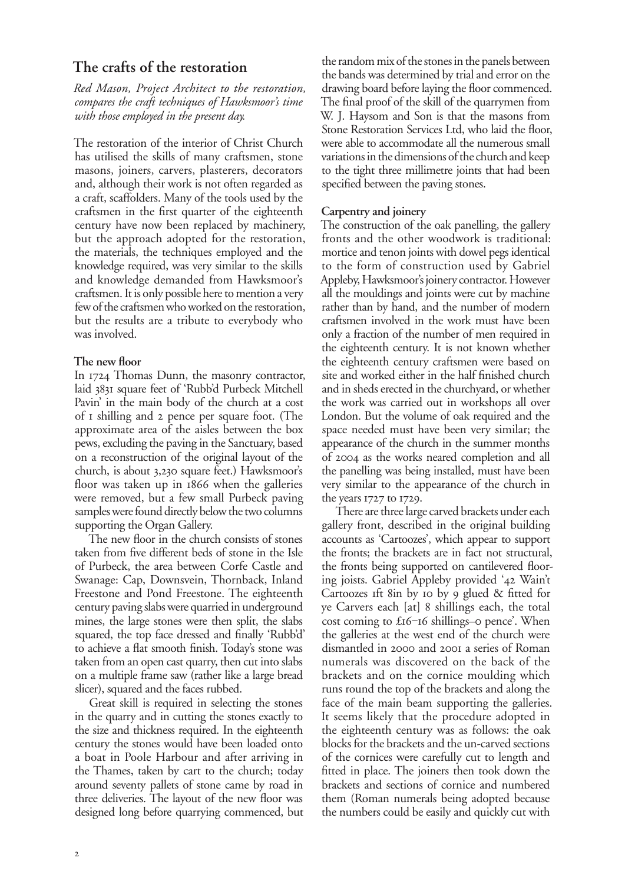# **The crafts of the restoration**

*Red Mason, Project Architect to the restoration, compares the craft techniques of Hawksmoor's time with those employed in the present day.*

The restoration of the interior of Christ Church has utilised the skills of many craftsmen, stone masons, joiners, carvers, plasterers, decorators and, although their work is not often regarded as a craft, scaffolders. Many of the tools used by the craftsmen in the first quarter of the eighteenth century have now been replaced by machinery, but the approach adopted for the restoration, the materials, the techniques employed and the knowledge required, was very similar to the skills and knowledge demanded from Hawksmoor's craftsmen. It is only possible here to mention a very few of the craftsmen who worked on the restoration, but the results are a tribute to everybody who was involved.

# **The new floor**

In 1724 Thomas Dunn, the masonry contractor, laid 3831 square feet of 'Rubb'd Purbeck Mitchell Pavin' in the main body of the church at a cost of I shilling and 2 pence per square foot. (The approximate area of the aisles between the box pews, excluding the paving in the Sanctuary, based on a reconstruction of the original layout of the church, is about 3,230 square feet.) Hawksmoor's floor was taken up in  $1866$  when the galleries were removed, but a few small Purbeck paving samples were found directly below the two columns supporting the Organ Gallery.

The new floor in the church consists of stones taken from five different beds of stone in the Isle of Purbeck, the area between Corfe Castle and Swanage: Cap, Downsvein, Thornback, Inland Freestone and Pond Freestone. The eighteenth century paving slabs were quarried in underground mines, the large stones were then split, the slabs squared, the top face dressed and finally 'Rubb'd' to achieve a flat smooth finish. Today's stone was taken from an open cast quarry, then cut into slabs on a multiple frame saw (rather like a large bread slicer), squared and the faces rubbed.

Great skill is required in selecting the stones in the quarry and in cutting the stones exactly to the size and thickness required. In the eighteenth century the stones would have been loaded onto a boat in Poole Harbour and after arriving in the Thames, taken by cart to the church; today around seventy pallets of stone came by road in three deliveries. The layout of the new floor was designed long before quarrying commenced, but

the random mix of the stones in the panels between the bands was determined by trial and error on the drawing board before laying the floor commenced. The final proof of the skill of the quarrymen from W. J. Haysom and Son is that the masons from Stone Restoration Services Ltd, who laid the floor, were able to accommodate all the numerous small variations in the dimensions of the church and keep to the tight three millimetre joints that had been specified between the paving stones.

# **Carpentry and joinery**

The construction of the oak panelling, the gallery fronts and the other woodwork is traditional: mortice and tenon joints with dowel pegs identical to the form of construction used by Gabriel Appleby, Hawksmoor's joinery contractor. However all the mouldings and joints were cut by machine rather than by hand, and the number of modern craftsmen involved in the work must have been only a fraction of the number of men required in the eighteenth century. It is not known whether the eighteenth century craftsmen were based on site and worked either in the half finished church and in sheds erected in the churchyard, or whether the work was carried out in workshops all over London. But the volume of oak required and the space needed must have been very similar; the appearance of the church in the summer months of 2004 as the works neared completion and all the panelling was being installed, must have been very similar to the appearance of the church in the years  $1727$  to  $1729$ .

There are three large carved brackets under each gallery front, described in the original building accounts as 'Cartoozes', which appear to support the fronts; the brackets are in fact not structural, the fronts being supported on cantilevered flooring joists. Gabriel Appleby provided '42 Wain't Cartoozes ift  $\sin$  by  $\sin$  by  $\sin$  glued  $\&$  fitted for ye Carvers each [at] 8 shillings each, the total cost coming to £16-16 shillings-o pence'. When the galleries at the west end of the church were dismantled in 2000 and 2001 a series of Roman numerals was discovered on the back of the brackets and on the cornice moulding which runs round the top of the brackets and along the face of the main beam supporting the galleries. It seems likely that the procedure adopted in the eighteenth century was as follows: the oak blocks for the brackets and the un-carved sections of the cornices were carefully cut to length and fitted in place. The joiners then took down the brackets and sections of cornice and numbered them (Roman numerals being adopted because the numbers could be easily and quickly cut with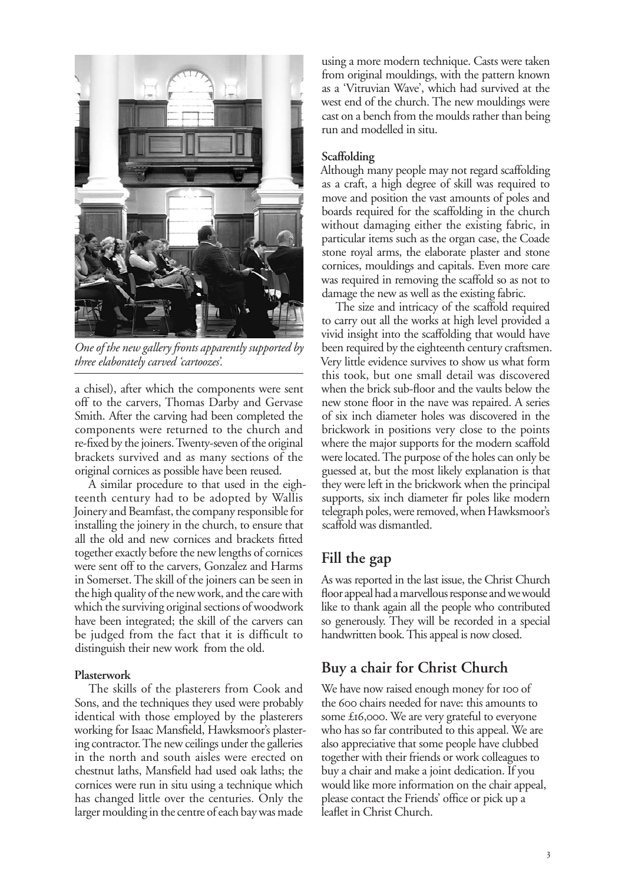

*One of the new gallery fronts apparently supported by three elaborately carved 'cartoozes'.*

a chisel), after which the components were sent off to the carvers, Thomas Darby and Gervase Smith. After the carving had been completed the components were returned to the church and re-fixed by the joiners. Twenty-seven of the original brackets survived and as many sections of the original cornices as possible have been reused.

A similar procedure to that used in the eighteenth century had to be adopted by Wallis Joinery and Beamfast, the company responsible for installing the joinery in the church, to ensure that all the old and new cornices and brackets fitted together exactly before the new lengths of cornices were sent off to the carvers, Gonzalez and Harms in Somerset. The skill of the joiners can be seen in the high quality of the new work, and the care with which the surviving original sections of woodwork have been integrated; the skill of the carvers can be judged from the fact that it is difficult to distinguish their new work from the old.

### **Plasterwork**

The skills of the plasterers from Cook and Sons, and the techniques they used were probably identical with those employed by the plasterers working for Isaac Mansfield, Hawksmoor's plastering contractor. The new ceilings under the galleries in the north and south aisles were erected on chestnut laths, Mansfield had used oak laths; the cornices were run in situ using a technique which has changed little over the centuries. Only the larger moulding in the centre of each bay was made

using a more modern technique. Casts were taken from original mouldings, with the pattern known as a 'Vitruvian Wave', which had survived at the west end of the church. The new mouldings were cast on a bench from the moulds rather than being run and modelled in situ.

### **Scaffolding**

Although many people may not regard scaffolding as a craft, a high degree of skill was required to move and position the vast amounts of poles and boards required for the scaffolding in the church without damaging either the existing fabric, in particular items such as the organ case, the Coade stone royal arms, the elaborate plaster and stone cornices, mouldings and capitals. Even more care was required in removing the scaffold so as not to damage the new as well as the existing fabric.

The size and intricacy of the scaffold required to carry out all the works at high level provided a vivid insight into the scaffolding that would have been required by the eighteenth century craftsmen. Very little evidence survives to show us what form this took, but one small detail was discovered when the brick sub-floor and the vaults below the new stone floor in the nave was repaired. A series of six inch diameter holes was discovered in the brickwork in positions very close to the points where the major supports for the modern scaffold were located. The purpose of the holes can only be guessed at, but the most likely explanation is that they were left in the brickwork when the principal supports, six inch diameter fir poles like modern telegraph poles, were removed, when Hawksmoor's scaffold was dismantled.

# **Fill the gap**

As was reported in the last issue, the Christ Church floor appeal had a marvellous response and we would like to thank again all the people who contributed so generously. They will be recorded in a special handwritten book. This appeal is now closed.

# **Buy a chair for Christ Church**

We have now raised enough money for 100 of the 600 chairs needed for nave: this amounts to some £16,000. We are very grateful to everyone who has so far contributed to this appeal. We are also appreciative that some people have clubbed together with their friends or work colleagues to buy a chair and make a joint dedication. If you would like more information on the chair appeal, please contact the Friends' office or pick up a leaflet in Christ Church.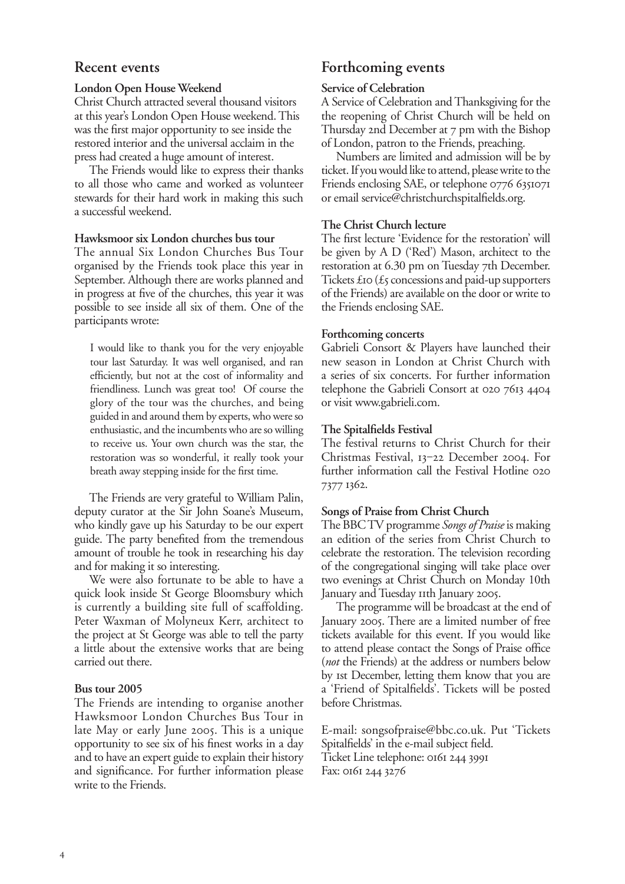# **Recent events**

# **London Open House Weekend**

Christ Church attracted several thousand visitors at this year's London Open House weekend. This was the first major opportunity to see inside the restored interior and the universal acclaim in the press had created a huge amount of interest.

The Friends would like to express their thanks to all those who came and worked as volunteer stewards for their hard work in making this such a successful weekend.

### **Hawksmoor six London churches bus tour**

The annual Six London Churches Bus Tour organised by the Friends took place this year in September. Although there are works planned and in progress at five of the churches, this year it was possible to see inside all six of them. One of the participants wrote:

I would like to thank you for the very enjoyable tour last Saturday. It was well organised, and ran efficiently, but not at the cost of informality and friendliness. Lunch was great too! Of course the glory of the tour was the churches, and being guided in and around them by experts, who were so enthusiastic, and the incumbents who are so willing to receive us. Your own church was the star, the restoration was so wonderful, it really took your breath away stepping inside for the first time.

The Friends are very grateful to William Palin, deputy curator at the Sir John Soane's Museum, who kindly gave up his Saturday to be our expert guide. The party benefited from the tremendous amount of trouble he took in researching his day and for making it so interesting.

We were also fortunate to be able to have a quick look inside St George Bloomsbury which is currently a building site full of scaffolding. Peter Waxman of Molyneux Kerr, architect to the project at St George was able to tell the party a little about the extensive works that are being carried out there.

# **Bus tour 2005**

The Friends are intending to organise another Hawksmoor London Churches Bus Tour in late May or early June 2005. This is a unique opportunity to see six of his finest works in a day and to have an expert guide to explain their history and significance. For further information please write to the Friends.

# **Forthcoming events**

### **Service of Celebration**

A Service of Celebration and Thanksgiving for the the reopening of Christ Church will be held on Thursday 2nd December at  $7$  pm with the Bishop of London, patron to the Friends, preaching.

Numbers are limited and admission will be by ticket. If you would like to attend, please write to the Friends enclosing SAE, or telephone 0776 6351071 or email service@christchurchspitalfields.org.

# **The Christ Church lecture**

The first lecture 'Evidence for the restoration' will be given by A D ('Red') Mason, architect to the restoration at 6.30 pm on Tuesday 7th December. Tickets  $\mathcal{L}$  to ( $\mathcal{L}$  concessions and paid-up supporters of the Friends) are available on the door or write to the Friends enclosing SAE.

### **Forthcoming concerts**

Gabrieli Consort & Players have launched their new season in London at Christ Church with a series of six concerts. For further information telephone the Gabrieli Consort at 020 7613 4404 or visit www.gabrieli.com.

# **The Spitalfields Festival**

The festival returns to Christ Church for their Christmas Festival, 13-22 December 2004. For further information call the Festival Hotline 020 7377 1362.

# **Songs of Praise from Christ Church**

The BBC TV programme *Songs of Praise* is making an edition of the series from Christ Church to celebrate the restoration. The television recording of the congregational singing will take place over two evenings at Christ Church on Monday 10th January and Tuesday IIth January 2005.

The programme will be broadcast at the end of January 2005. There are a limited number of free tickets available for this event. If you would like to attend please contact the Songs of Praise office (*not* the Friends) at the address or numbers below by st December, letting them know that you are a 'Friend of Spitalfields'. Tickets will be posted before Christmas.

E-mail: songsofpraise@bbc.co.uk. Put 'Tickets Spitalfields' in the e-mail subject field. Ticket Line telephone: 0161 244 3991 Fax: 0161 244 3276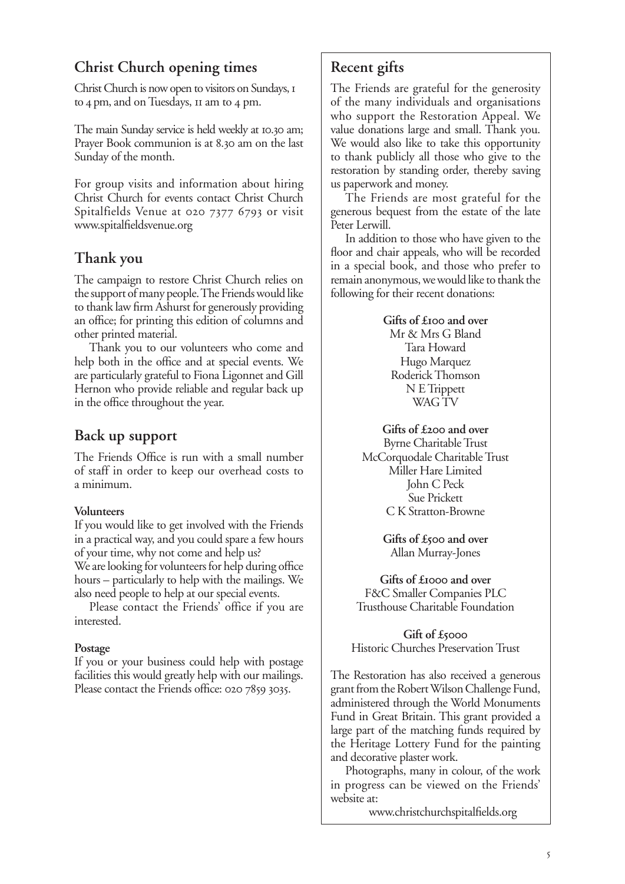# **Christ Church opening times**

Christ Church is now open to visitors on Sundays, to  $4 \text{ pm}$ , and on Tuesdays,  $\text{m}$  am to  $4 \text{ pm}$ .

The main Sunday service is held weekly at 10.30 am; Prayer Book communion is at 8.30 am on the last Sunday of the month.

For group visits and information about hiring Christ Church for events contact Christ Church Spitalfields Venue at 020 7377 6793 or visit www.spitalfieldsvenue.org

# **Thank you**

The campaign to restore Christ Church relies on the support of many people. The Friends would like to thank law firm Ashurst for generously providing an office; for printing this edition of columns and other printed material.

Thank you to our volunteers who come and help both in the office and at special events. We are particularly grateful to Fiona Ligonnet and Gill Hernon who provide reliable and regular back up in the office throughout the year.

# **Back up support**

The Friends Office is run with a small number of staff in order to keep our overhead costs to a minimum.

# **Volunteers**

If you would like to get involved with the Friends in a practical way, and you could spare a few hours of your time, why not come and help us?

We are looking for volunteers for help during office hours – particularly to help with the mailings. We also need people to help at our special events.

Please contact the Friends' office if you are interested.

# **Postage**

If you or your business could help with postage facilities this would greatly help with our mailings. Please contact the Friends office: 020 7859 3035.

# **Recent gifts**

The Friends are grateful for the generosity of the many individuals and organisations who support the Restoration Appeal. We value donations large and small. Thank you. We would also like to take this opportunity to thank publicly all those who give to the restoration by standing order, thereby saving us paperwork and money.

The Friends are most grateful for the generous bequest from the estate of the late Peter Lerwill.

In addition to those who have given to the floor and chair appeals, who will be recorded in a special book, and those who prefer to remain anonymous, we would like to thank the following for their recent donations:

# Gifts of £**100** and over Mr & Mrs G Bland Tara Howard

Hugo Marquez Roderick Thomson N E Trippett WAG TV

Gifts of £200 and over Byrne Charitable Trust McCorquodale Charitable Trust Miller Hare Limited John C Peck Sue Prickett C K Stratton-Browne

> Gifts of £500 and over Allan Murray-Jones

Gifts of £**1000** and over F&C Smaller Companies PLC Trusthouse Charitable Foundation

**Gift of £** Historic Churches Preservation Trust

The Restoration has also received a generous grant from the Robert Wilson Challenge Fund, administered through the World Monuments Fund in Great Britain. This grant provided a large part of the matching funds required by the Heritage Lottery Fund for the painting and decorative plaster work.

Photographs, many in colour, of the work in progress can be viewed on the Friends' website at:

www.christchurchspitalfields.org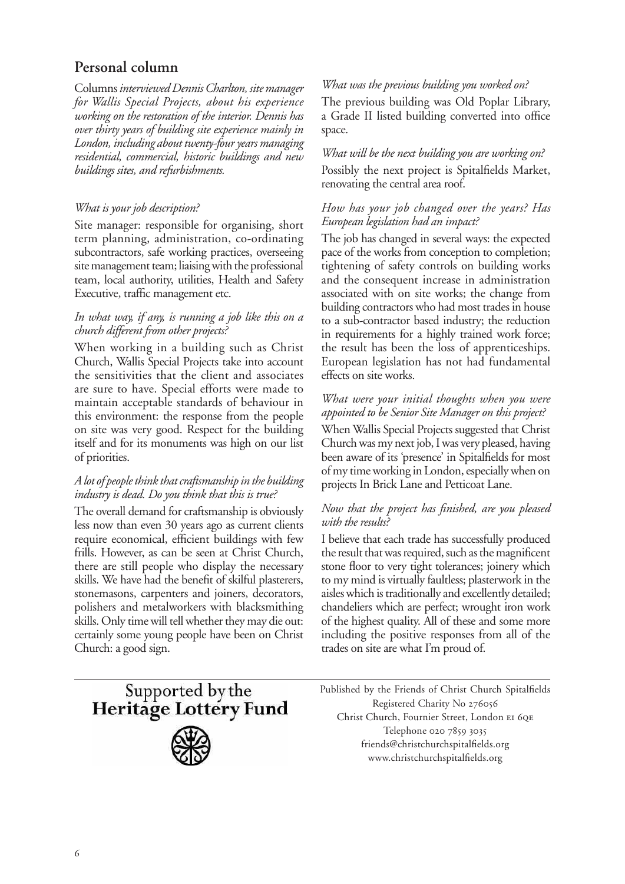# **Personal column**

Columns *interviewed Dennis Charlton, site manager for Wallis Special Projects, about his experience working on the restoration of the interior. Dennis has over thirty years of building site experience mainly in London, including about twenty-four years managing residential, commercial, historic buildings and new buildings sites, and refurbishments.*

# *What is your job description?*

Site manager: responsible for organising, short term planning, administration, co-ordinating subcontractors, safe working practices, overseeing site management team; liaising with the professional team, local authority, utilities, Health and Safety Executive, traffic management etc.

# *In what way, if any, is running a job like this on a church different from other projects?*

When working in a building such as Christ Church, Wallis Special Projects take into account the sensitivities that the client and associates are sure to have. Special efforts were made to maintain acceptable standards of behaviour in this environment: the response from the people on site was very good. Respect for the building itself and for its monuments was high on our list of priorities.

# *A lot of people think that craftsmanship in the building industry is dead. Do you think that this is true?*

The overall demand for craftsmanship is obviously less now than even 30 years ago as current clients require economical, efficient buildings with few frills. However, as can be seen at Christ Church, there are still people who display the necessary skills. We have had the benefit of skilful plasterers, stonemasons, carpenters and joiners, decorators, polishers and metalworkers with blacksmithing skills. Only time will tell whether they may die out: certainly some young people have been on Christ Church: a good sign.

# *What was the previous building you worked on?*

The previous building was Old Poplar Library, a Grade II listed building converted into office space.

# *What will be the next building you are working on?* Possibly the next project is Spitalfields Market, renovating the central area roof.

# *How has your job changed over the years? Has European legislation had an impact?*

The job has changed in several ways: the expected pace of the works from conception to completion; tightening of safety controls on building works and the consequent increase in administration associated with on site works; the change from building contractors who had most trades in house to a sub-contractor based industry; the reduction in requirements for a highly trained work force; the result has been the loss of apprenticeships. European legislation has not had fundamental effects on site works.

# *What were your initial thoughts when you were appointed to be Senior Site Manager on this project?*

When Wallis Special Projects suggested that Christ Church was my next job, I was very pleased, having been aware of its 'presence' in Spitalfields for most of my time working in London, especially when on projects In Brick Lane and Petticoat Lane.

# *Now that the project has finished, are you pleased with the results?*

I believe that each trade has successfully produced the result that was required, such as the magnificent stone floor to very tight tolerances; joinery which to my mind is virtually faultless; plasterwork in the aisles which is traditionally and excellently detailed; chandeliers which are perfect; wrought iron work of the highest quality. All of these and some more including the positive responses from all of the trades on site are what I'm proud of.

Supported by the Heritage Lottery Fund



Published by the Friends of Christ Church Spitalfields Registered Charity No Christ Church, Fournier Street, London Telephone 020 7859 3035 friends@christchurchspitalfields.org www.christchurchspitalfields.org